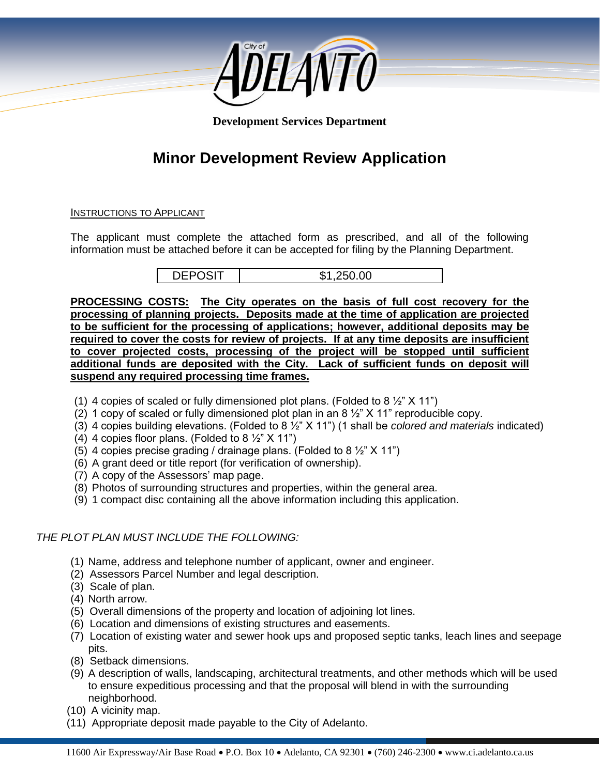

**Development Services Department**

# **Minor Development Review Application**

#### INSTRUCTIONS TO APPLICANT

The applicant must complete the attached form as prescribed, and all of the following information must be attached before it can be accepted for filing by the Planning Department.

DEPOSIT | \$1,250.00

**PROCESSING COSTS: The City operates on the basis of full cost recovery for the processing of planning projects. Deposits made at the time of application are projected to be sufficient for the processing of applications; however, additional deposits may be required to cover the costs for review of projects. If at any time deposits are insufficient to cover projected costs, processing of the project will be stopped until sufficient additional funds are deposited with the City. Lack of sufficient funds on deposit will suspend any required processing time frames.**

- (1) 4 copies of scaled or fully dimensioned plot plans. (Folded to 8  $\frac{1}{2}$  X 11")
- (2) 1 copy of scaled or fully dimensioned plot plan in an 8  $\frac{1}{2}$ " X 11" reproducible copy.
- (3) 4 copies building elevations. (Folded to 8 ½" X 11") (1 shall be *colored and materials* indicated)
- (4) 4 copies floor plans. (Folded to 8  $\frac{1}{2}$ " X 11")
- (5) 4 copies precise grading / drainage plans. (Folded to 8  $\frac{1}{2}$ " X 11")
- (6) A grant deed or title report (for verification of ownership).
- (7) A copy of the Assessors' map page.
- (8) Photos of surrounding structures and properties, within the general area.
- (9) 1 compact disc containing all the above information including this application.

## *THE PLOT PLAN MUST INCLUDE THE FOLLOWING:*

- (1) Name, address and telephone number of applicant, owner and engineer.
- (2) Assessors Parcel Number and legal description.
- (3) Scale of plan.
- (4) North arrow.
- (5) Overall dimensions of the property and location of adjoining lot lines.
- (6) Location and dimensions of existing structures and easements.
- (7) Location of existing water and sewer hook ups and proposed septic tanks, leach lines and seepage pits.
- (8) Setback dimensions.
- (9) A description of walls, landscaping, architectural treatments, and other methods which will be used to ensure expeditious processing and that the proposal will blend in with the surrounding neighborhood.
- (10) A vicinity map.
- (11) Appropriate deposit made payable to the City of Adelanto.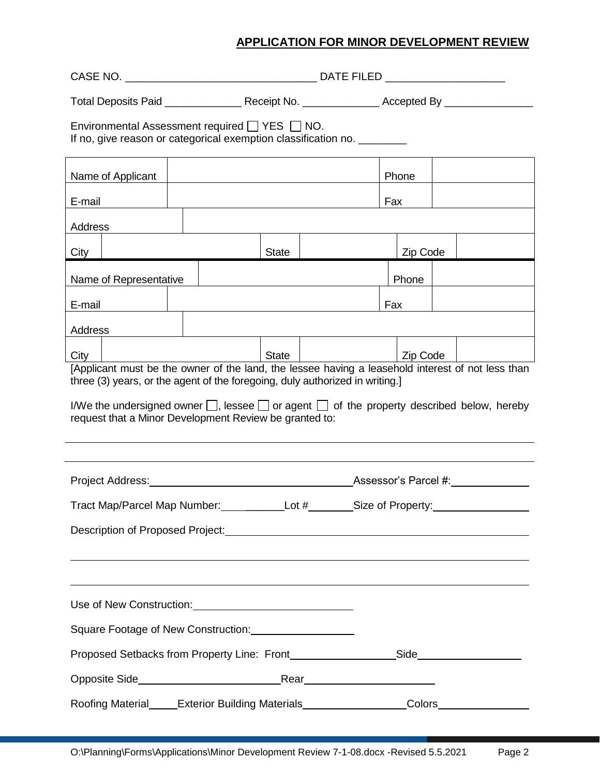| Environmental Assessment required TYES NO.<br>If no, give reason or categorical exemption classification no. ________                                                             |              |                          |          |  |  |  |  |  |  |
|-----------------------------------------------------------------------------------------------------------------------------------------------------------------------------------|--------------|--------------------------|----------|--|--|--|--|--|--|
| Name of Applicant                                                                                                                                                                 |              |                          | Phone    |  |  |  |  |  |  |
| E-mail                                                                                                                                                                            |              |                          | Fax      |  |  |  |  |  |  |
| Address                                                                                                                                                                           |              |                          |          |  |  |  |  |  |  |
| City                                                                                                                                                                              | <b>State</b> |                          | Zip Code |  |  |  |  |  |  |
| Name of Representative                                                                                                                                                            |              |                          | Phone    |  |  |  |  |  |  |
| E-mail                                                                                                                                                                            |              |                          | Fax      |  |  |  |  |  |  |
| Address                                                                                                                                                                           |              |                          |          |  |  |  |  |  |  |
| City                                                                                                                                                                              | State        | <u>Notice</u>   Zip Code |          |  |  |  |  |  |  |
| [Applicant must be the owner of the land, the lessee having a leasehold interest of not less than<br>three (3) years, or the agent of the foregoing, duly authorized in writing.] |              |                          |          |  |  |  |  |  |  |
| I/We the undersigned owner $\Box$ , lessee $\Box$ or agent $\Box$ of the property described below, hereby<br>request that a Minor Development Review be granted to:               |              |                          |          |  |  |  |  |  |  |
|                                                                                                                                                                                   |              |                          |          |  |  |  |  |  |  |
| Project Address: Notified the Marian Contract of Assessor's Parcel #: Notified the Marian Contract of Assessor's Parcel #:                                                        |              |                          |          |  |  |  |  |  |  |
|                                                                                                                                                                                   |              |                          |          |  |  |  |  |  |  |
|                                                                                                                                                                                   |              |                          |          |  |  |  |  |  |  |
|                                                                                                                                                                                   |              |                          |          |  |  |  |  |  |  |
|                                                                                                                                                                                   |              |                          |          |  |  |  |  |  |  |
| Square Footage of New Construction: ____________________                                                                                                                          |              |                          |          |  |  |  |  |  |  |
| Proposed Setbacks from Property Line: Front_____________________Side_____________                                                                                                 |              |                          |          |  |  |  |  |  |  |
|                                                                                                                                                                                   |              |                          |          |  |  |  |  |  |  |
| Roofing Material_____Exterior Building Materials__________________Colors_______________                                                                                           |              |                          |          |  |  |  |  |  |  |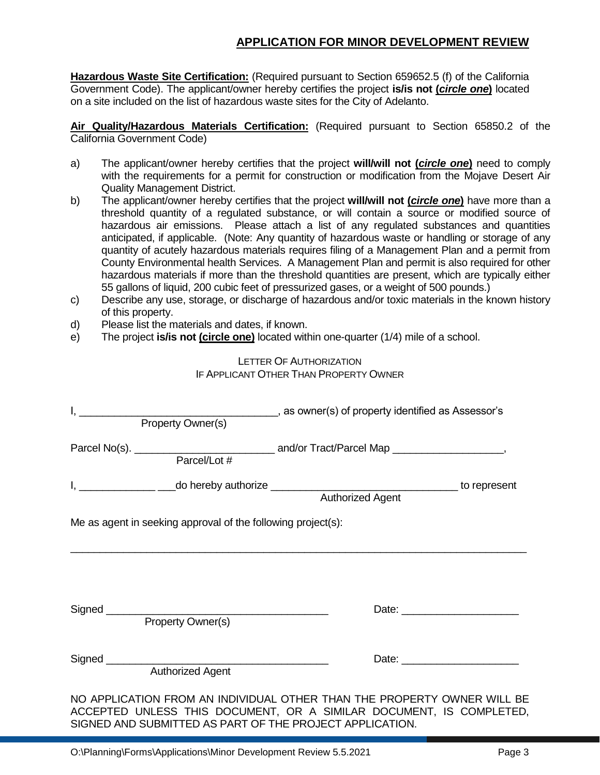**Hazardous Waste Site Certification:** (Required pursuant to Section 659652.5 (f) of the California Government Code). The applicant/owner hereby certifies the project **is/is not (***circle one***)** located on a site included on the list of hazardous waste sites for the City of Adelanto.

**Air Quality/Hazardous Materials Certification:** (Required pursuant to Section 65850.2 of the California Government Code)

- a) The applicant/owner hereby certifies that the project **will/will not (***circle one***)** need to comply with the requirements for a permit for construction or modification from the Mojave Desert Air Quality Management District.
- b) The applicant/owner hereby certifies that the project **will/will not (***circle one***)** have more than a threshold quantity of a regulated substance, or will contain a source or modified source of hazardous air emissions. Please attach a list of any regulated substances and quantities anticipated, if applicable. (Note: Any quantity of hazardous waste or handling or storage of any quantity of acutely hazardous materials requires filing of a Management Plan and a permit from County Environmental health Services. A Management Plan and permit is also required for other hazardous materials if more than the threshold quantities are present, which are typically either 55 gallons of liquid, 200 cubic feet of pressurized gases, or a weight of 500 pounds.)
- c) Describe any use, storage, or discharge of hazardous and/or toxic materials in the known history of this property.
- d) Please list the materials and dates, if known.
- e) The project **is/is not (circle one)** located within one-quarter (1/4) mile of a school.

## LETTER OF AUTHORIZATION IF APPLICANT OTHER THAN PROPERTY OWNER

| Property Owner(s)                                            |                                                                                                                                                                                                                                                           |
|--------------------------------------------------------------|-----------------------------------------------------------------------------------------------------------------------------------------------------------------------------------------------------------------------------------------------------------|
| Parcel/Lot #                                                 |                                                                                                                                                                                                                                                           |
|                                                              | I, 1. Contract to represent to represent the relation of the reduction of the reduction of the reduction of the reduction of the reduction of the reduction of the reduction of the reduction of the reduction of the reductio<br><b>Authorized Agent</b> |
| Me as agent in seeking approval of the following project(s): |                                                                                                                                                                                                                                                           |
|                                                              |                                                                                                                                                                                                                                                           |
| Property Owner(s)                                            |                                                                                                                                                                                                                                                           |
| <b>Authorized Agent</b>                                      | Date: <u>University</u>                                                                                                                                                                                                                                   |
| SIGNED AND SUBMITTED AS PART OF THE PROJECT APPLICATION.     | NO APPLICATION FROM AN INDIVIDUAL OTHER THAN THE PROPERTY OWNER WILL BE<br>ACCEPTED UNLESS THIS DOCUMENT, OR A SIMILAR DOCUMENT, IS COMPLETED,                                                                                                            |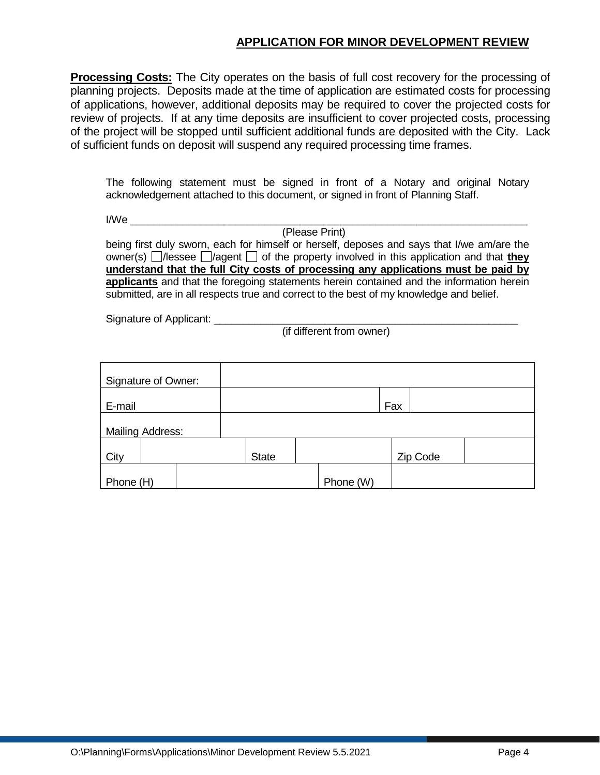**Processing Costs:** The City operates on the basis of full cost recovery for the processing of planning projects. Deposits made at the time of application are estimated costs for processing of applications, however, additional deposits may be required to cover the projected costs for review of projects. If at any time deposits are insufficient to cover projected costs, processing of the project will be stopped until sufficient additional funds are deposited with the City. Lack of sufficient funds on deposit will suspend any required processing time frames.

The following statement must be signed in front of a Notary and original Notary acknowledgement attached to this document, or signed in front of Planning Staff.

 $I/We$ 

(Please Print)

being first duly sworn, each for himself or herself, deposes and says that I/we am/are the owner(s)  $\Box$ /lessee  $\Box$ /agent  $\Box$  of the property involved in this application and that **they understand that the full City costs of processing any applications must be paid by applicants** and that the foregoing statements herein contained and the information herein submitted, are in all respects true and correct to the best of my knowledge and belief.

Signature of Applicant:

(if different from owner)

| Signature of Owner:     |  |              |           |     |          |  |
|-------------------------|--|--------------|-----------|-----|----------|--|
| E-mail                  |  |              |           | Fax |          |  |
| <b>Mailing Address:</b> |  |              |           |     |          |  |
| City                    |  | <b>State</b> |           |     | Zip Code |  |
| Phone (H)               |  |              | Phone (W) |     |          |  |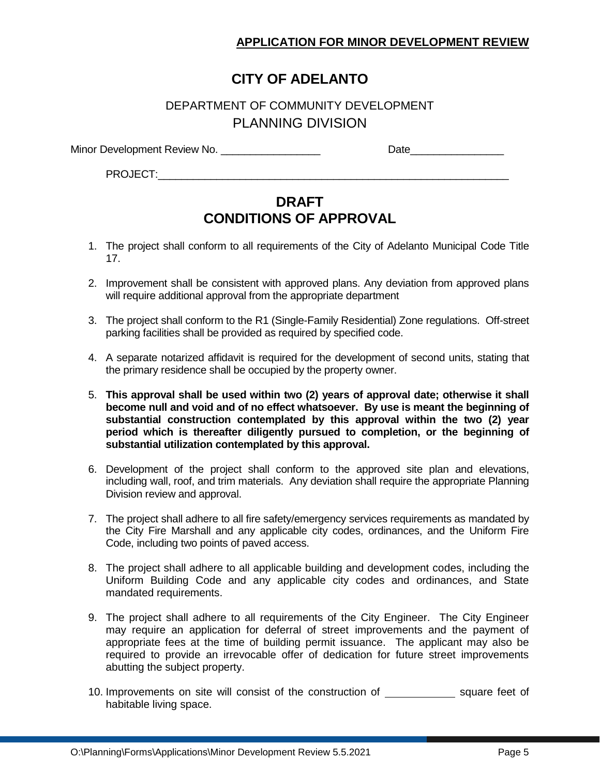# **CITY OF ADELANTO**

## DEPARTMENT OF COMMUNITY DEVELOPMENT PLANNING DIVISION

Minor Development Review No. \_\_\_\_\_\_\_\_\_\_\_\_\_\_\_\_\_ Date\_\_\_\_\_\_\_\_\_\_\_\_\_\_\_\_

PROJECT:

# **DRAFT CONDITIONS OF APPROVAL**

- 1. The project shall conform to all requirements of the City of Adelanto Municipal Code Title 17.
- 2. Improvement shall be consistent with approved plans. Any deviation from approved plans will require additional approval from the appropriate department
- 3. The project shall conform to the R1 (Single-Family Residential) Zone regulations. Off-street parking facilities shall be provided as required by specified code.
- 4. A separate notarized affidavit is required for the development of second units, stating that the primary residence shall be occupied by the property owner.
- 5. **This approval shall be used within two (2) years of approval date; otherwise it shall become null and void and of no effect whatsoever. By use is meant the beginning of substantial construction contemplated by this approval within the two (2) year period which is thereafter diligently pursued to completion, or the beginning of substantial utilization contemplated by this approval.**
- 6. Development of the project shall conform to the approved site plan and elevations, including wall, roof, and trim materials. Any deviation shall require the appropriate Planning Division review and approval.
- 7. The project shall adhere to all fire safety/emergency services requirements as mandated by the City Fire Marshall and any applicable city codes, ordinances, and the Uniform Fire Code, including two points of paved access.
- 8. The project shall adhere to all applicable building and development codes, including the Uniform Building Code and any applicable city codes and ordinances, and State mandated requirements.
- 9. The project shall adhere to all requirements of the City Engineer. The City Engineer may require an application for deferral of street improvements and the payment of appropriate fees at the time of building permit issuance. The applicant may also be required to provide an irrevocable offer of dedication for future street improvements abutting the subject property.
- 10. Improvements on site will consist of the construction of square feet of habitable living space.